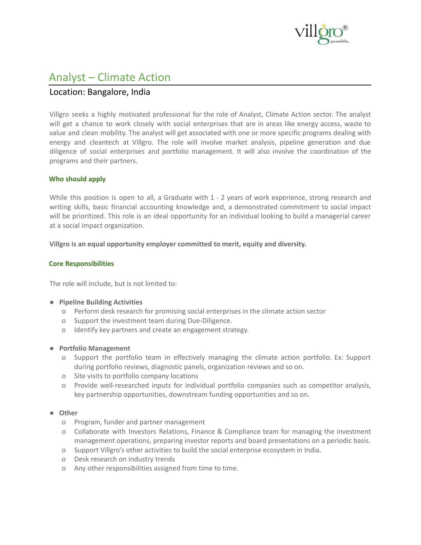

# Analyst – Climate Action

# Location: Bangalore, India

Villgro seeks a highly motivated professional for the role of Analyst, Climate Action sector. The analyst will get a chance to work closely with social enterprises that are in areas like energy access, waste to value and clean mobility. The analyst will get associated with one or more specific programs dealing with energy and cleantech at Villgro. The role will involve market analysis, pipeline generation and due diligence of social enterprises and portfolio management. It will also involve the coordination of the programs and their partners.

## **Who should apply**

While this position is open to all, a Graduate with 1 - 2 years of work experience, strong research and writing skills, basic financial accounting knowledge and, a demonstrated commitment to social impact will be prioritized. This role is an ideal opportunity for an individual looking to build a managerial career at a social impact organization.

**Villgro is an equal opportunity employer committed to merit, equity and diversity.**

#### **Core Responsibilities**

The role will include, but is not limited to:

- **● Pipeline Building Activities**
	- o Perform desk research for promising social enterprises in the climate action sector
	- o Support the investment team during Due-Diligence.
	- o Identify key partners and create an engagement strategy.
- **● Portfolio Management**
	- o Support the portfolio team in effectively managing the climate action portfolio. Ex: Support during portfolio reviews, diagnostic panels, organization reviews and so on.
	- o Site visits to portfolio company locations
	- o Provide well-researched inputs for individual portfolio companies such as competitor analysis, key partnership opportunities, downstream funding opportunities and so on.
- **● Other**
	- o Program, funder and partner management
	- o Collaborate with Investors Relations, Finance & Compliance team for managing the investment management operations, preparing investor reports and board presentations on a periodic basis.
	- o Support Villgro's other activities to build the social enterprise ecosystem in India.
	- o Desk research on industry trends
	- o Any other responsibilities assigned from time to time.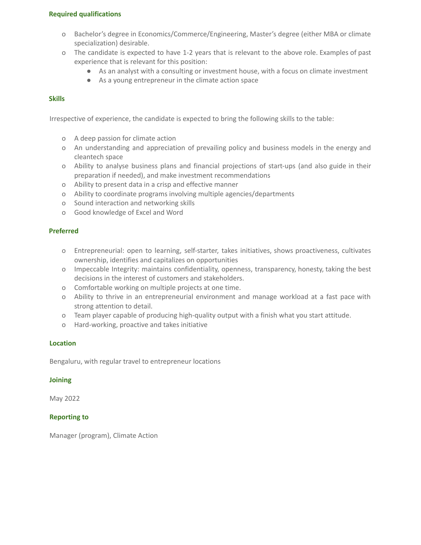#### **Required qualifications**

- o Bachelor's degree in Economics/Commerce/Engineering, Master's degree (either MBA or climate specialization) desirable.
- o The candidate is expected to have 1-2 years that is relevant to the above role. Examples of past experience that is relevant for this position:
	- As an analyst with a consulting or investment house, with a focus on climate investment
	- As a young entrepreneur in the climate action space

# **Skills**

Irrespective of experience, the candidate is expected to bring the following skills to the table:

- o A deep passion for climate action
- o An understanding and appreciation of prevailing policy and business models in the energy and cleantech space
- o Ability to analyse business plans and financial projections of start-ups (and also guide in their preparation if needed), and make investment recommendations
- o Ability to present data in a crisp and effective manner
- o Ability to coordinate programs involving multiple agencies/departments
- o Sound interaction and networking skills
- o Good knowledge of Excel and Word

## **Preferred**

- o Entrepreneurial: open to learning, self-starter, takes initiatives, shows proactiveness, cultivates ownership, identifies and capitalizes on opportunities
- o Impeccable Integrity: maintains confidentiality, openness, transparency, honesty, taking the best decisions in the interest of customers and stakeholders.
- o Comfortable working on multiple projects at one time.
- o Ability to thrive in an entrepreneurial environment and manage workload at a fast pace with strong attention to detail.
- o Team player capable of producing high-quality output with a finish what you start attitude.
- o Hard-working, proactive and takes initiative

## **Location**

Bengaluru, with regular travel to entrepreneur locations

## **Joining**

May 2022

## **Reporting to**

Manager (program), Climate Action